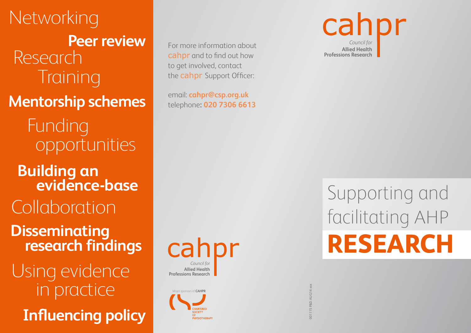Networking **Peer review** Research **Training** Funding opportunities **Mentorship schemes Building an evidence-base Collaboration Disseminating research findings** Using evidence in practice **Influencing policy**

For more information about cahpr and to find out how to get involved, contact the cahpr Support Officer:

email: **cahpr@csp.org.uk**  telephone**: 020 7306 6613**



Major sponsors of **CAHPR** .<br>⊔VCI∩TUED ∧D'



## **RESEARCH** Supporting and facilitating AHP

001115 P&D AUG14 xxx 001115 F